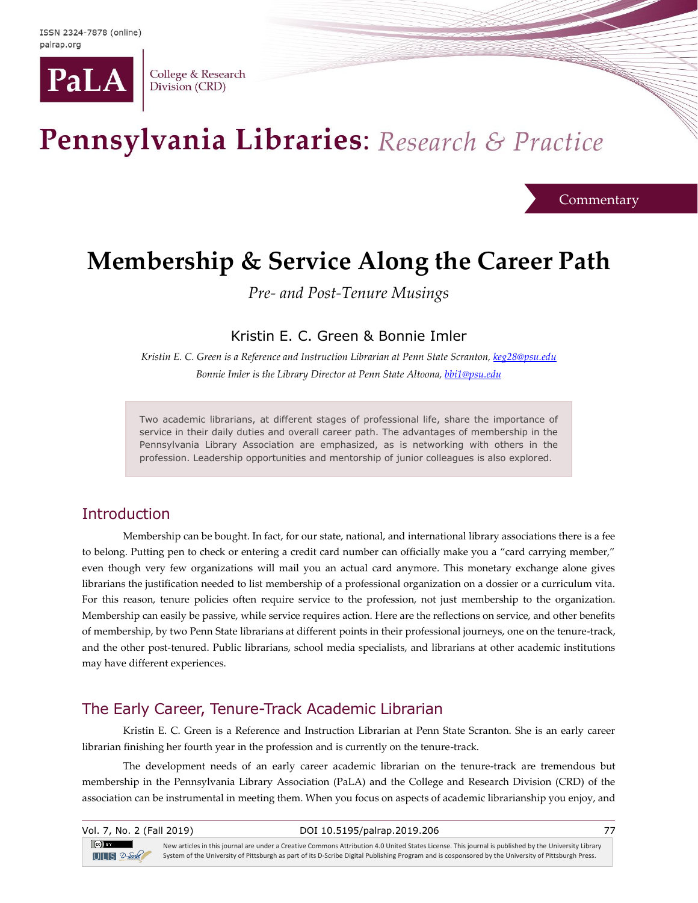

College & Research Division (CRD)

# Pennsylvania Libraries: Research & Practice

**Commentary** 

## **Membership & Service Along the Career Path**

*Pre- and Post-Tenure Musings*

Kristin E. C. Green & Bonnie Imler

*Kristin E. C. Green is a Reference and Instruction Librarian at Penn State Scranton, [keg28@psu.edu](mailto:keg28@psu.edu) Bonnie Imler is the Library Director at Penn State Altoona, [bbi1@psu.edu](mailto:bbi1@psu.edu)*

Two academic librarians, at different stages of professional life, share the importance of service in their daily duties and overall career path. The advantages of membership in the Pennsylvania Library Association are emphasized, as is networking with others in the profession. Leadership opportunities and mentorship of junior colleagues is also explored.

## **Introduction**

Membership can be bought. In fact, for our state, national, and international library associations there is a fee to belong. Putting pen to check or entering a credit card number can officially make you a "card carrying member," even though very few organizations will mail you an actual card anymore. This monetary exchange alone gives librarians the justification needed to list membership of a professional organization on a dossier or a curriculum vita. For this reason, tenure policies often require service to the profession, not just membership to the organization. Membership can easily be passive, while service requires action. Here are the reflections on service, and other benefits of membership, by two Penn State librarians at different points in their professional journeys, one on the tenure-track, and the other post-tenured. Public librarians, school media specialists, and librarians at other academic institutions may have different experiences.

## The Early Career, Tenure-Track Academic Librarian

Kristin E. C. Green is a Reference and Instruction Librarian at Penn State Scranton. She is an early career librarian finishing her fourth year in the profession and is currently on the tenure-track.

The development needs of an early career academic librarian on the tenure-track are tremendous but membership in the Pennsylvania Library Association (PaLA) and the College and Research Division (CRD) of the association can be instrumental in meeting them. When you focus on aspects of academic librarianship you enjoy, and

| Vol. 7, No. 2 (Fall 2019)         | DOI 10.5195/palrap.2019.206                                                                                                                                                                                                                                                                                 |  |
|-----------------------------------|-------------------------------------------------------------------------------------------------------------------------------------------------------------------------------------------------------------------------------------------------------------------------------------------------------------|--|
| $(cc)$ and $c$<br>$UIB$ $2$ -Sole | New articles in this journal are under a Creative Commons Attribution 4.0 United States License. This journal is published by the University Library<br>System of the University of Pittsburgh as part of its D-Scribe Digital Publishing Program and is cosponsored by the University of Pittsburgh Press. |  |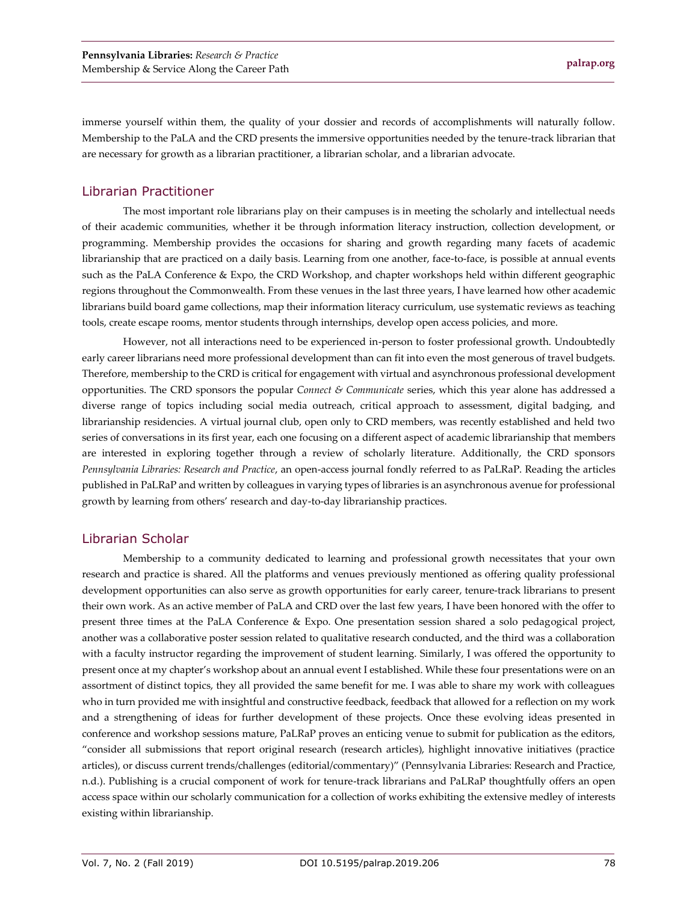immerse yourself within them, the quality of your dossier and records of accomplishments will naturally follow. Membership to the PaLA and the CRD presents the immersive opportunities needed by the tenure-track librarian that are necessary for growth as a librarian practitioner, a librarian scholar, and a librarian advocate.

### Librarian Practitioner

The most important role librarians play on their campuses is in meeting the scholarly and intellectual needs of their academic communities, whether it be through information literacy instruction, collection development, or programming. Membership provides the occasions for sharing and growth regarding many facets of academic librarianship that are practiced on a daily basis. Learning from one another, face-to-face, is possible at annual events such as the PaLA Conference & Expo, the CRD Workshop, and chapter workshops held within different geographic regions throughout the Commonwealth. From these venues in the last three years, I have learned how other academic librarians build board game collections, map their information literacy curriculum, use systematic reviews as teaching tools, create escape rooms, mentor students through internships, develop open access policies, and more.

However, not all interactions need to be experienced in-person to foster professional growth. Undoubtedly early career librarians need more professional development than can fit into even the most generous of travel budgets. Therefore, membership to the CRD is critical for engagement with virtual and asynchronous professional development opportunities. The CRD sponsors the popular *Connect & Communicate* series, which this year alone has addressed a diverse range of topics including social media outreach, critical approach to assessment, digital badging, and librarianship residencies. A virtual journal club, open only to CRD members, was recently established and held two series of conversations in its first year, each one focusing on a different aspect of academic librarianship that members are interested in exploring together through a review of scholarly literature. Additionally, the CRD sponsors *Pennsylvania Libraries: Research and Practice*, an open-access journal fondly referred to as PaLRaP. Reading the articles published in PaLRaP and written by colleagues in varying types of libraries is an asynchronous avenue for professional growth by learning from others' research and day-to-day librarianship practices.

#### Librarian Scholar

Membership to a community dedicated to learning and professional growth necessitates that your own research and practice is shared. All the platforms and venues previously mentioned as offering quality professional development opportunities can also serve as growth opportunities for early career, tenure-track librarians to present their own work. As an active member of PaLA and CRD over the last few years, I have been honored with the offer to present three times at the PaLA Conference & Expo. One presentation session shared a solo pedagogical project, another was a collaborative poster session related to qualitative research conducted, and the third was a collaboration with a faculty instructor regarding the improvement of student learning. Similarly, I was offered the opportunity to present once at my chapter's workshop about an annual event I established. While these four presentations were on an assortment of distinct topics, they all provided the same benefit for me. I was able to share my work with colleagues who in turn provided me with insightful and constructive feedback, feedback that allowed for a reflection on my work and a strengthening of ideas for further development of these projects. Once these evolving ideas presented in conference and workshop sessions mature, PaLRaP proves an enticing venue to submit for publication as the editors, "consider all submissions that report original research (research articles), highlight innovative initiatives (practice articles), or discuss current trends/challenges (editorial/commentary)" (Pennsylvania Libraries: Research and Practice, n.d.). Publishing is a crucial component of work for tenure-track librarians and PaLRaP thoughtfully offers an open access space within our scholarly communication for a collection of works exhibiting the extensive medley of interests existing within librarianship.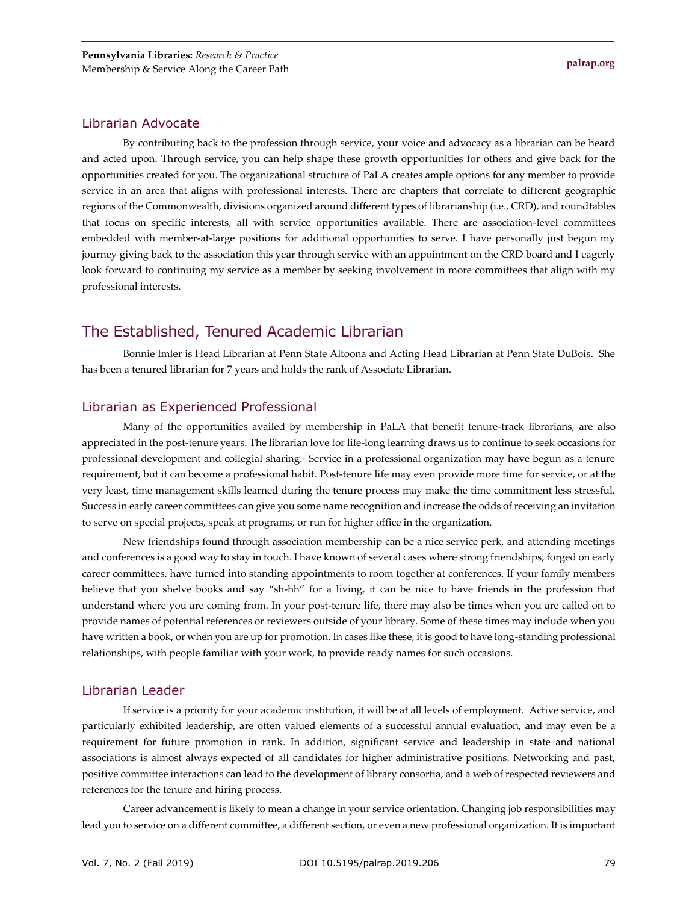#### Librarian Advocate

By contributing back to the profession through service, your voice and advocacy as a librarian can be heard and acted upon. Through service, you can help shape these growth opportunities for others and give back for the opportunities created for you. The organizational structure of PaLA creates ample options for any member to provide service in an area that aligns with professional interests. There are chapters that correlate to different geographic regions of the Commonwealth, divisions organized around different types of librarianship (i.e., CRD), and roundtables that focus on specific interests, all with service opportunities available. There are association-level committees embedded with member-at-large positions for additional opportunities to serve. I have personally just begun my journey giving back to the association this year through service with an appointment on the CRD board and I eagerly look forward to continuing my service as a member by seeking involvement in more committees that align with my professional interests.

## The Established, Tenured Academic Librarian

Bonnie Imler is Head Librarian at Penn State Altoona and Acting Head Librarian at Penn State DuBois. She has been a tenured librarian for 7 years and holds the rank of Associate Librarian.

#### Librarian as Experienced Professional

Many of the opportunities availed by membership in PaLA that benefit tenure-track librarians, are also appreciated in the post-tenure years. The librarian love for life-long learning draws us to continue to seek occasions for professional development and collegial sharing. Service in a professional organization may have begun as a tenure requirement, but it can become a professional habit. Post-tenure life may even provide more time for service, or at the very least, time management skills learned during the tenure process may make the time commitment less stressful. Success in early career committees can give you some name recognition and increase the odds of receiving an invitation to serve on special projects, speak at programs, or run for higher office in the organization.

New friendships found through association membership can be a nice service perk, and attending meetings and conferences is a good way to stay in touch. I have known of several cases where strong friendships, forged on early career committees, have turned into standing appointments to room together at conferences. If your family members believe that you shelve books and say "sh-hh" for a living, it can be nice to have friends in the profession that understand where you are coming from. In your post-tenure life, there may also be times when you are called on to provide names of potential references or reviewers outside of your library. Some of these times may include when you have written a book, or when you are up for promotion. In cases like these, it is good to have long-standing professional relationships, with people familiar with your work, to provide ready names for such occasions.

#### Librarian Leader

If service is a priority for your academic institution, it will be at all levels of employment. Active service, and particularly exhibited leadership, are often valued elements of a successful annual evaluation, and may even be a requirement for future promotion in rank. In addition, significant service and leadership in state and national associations is almost always expected of all candidates for higher administrative positions. Networking and past, positive committee interactions can lead to the development of library consortia, and a web of respected reviewers and references for the tenure and hiring process.

Career advancement is likely to mean a change in your service orientation. Changing job responsibilities may lead you to service on a different committee, a different section, or even a new professional organization. It is important